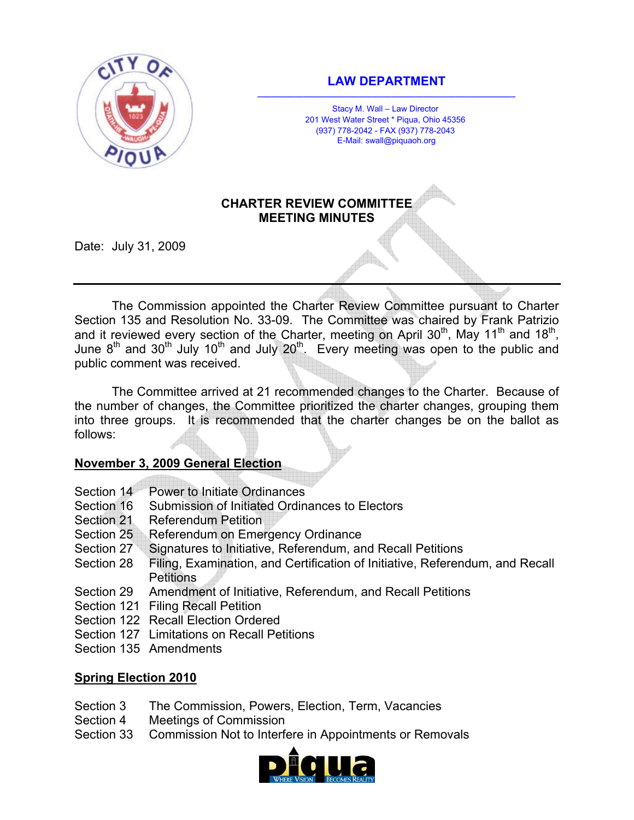

# LAW DEPARTMENT

Stacy M. Wall – Law Director 201 West Water Street \* Piqua, Ohio 45356 (937) 778-2042 - FAX (937) 778-2043 E-Mail: swall@piquaoh.org

## **CHARTER REVIEW COMMITTEE MEETING MINUTES**

Date: July 31, 2009

 The Commission appointed the Charter Review Committee pursuant to Charter Section 135 and Resolution No. 33-09. The Committee was chaired by Frank Patrizio and it reviewed every section of the Charter, meeting on April 30<sup>th</sup>, May 11<sup>th</sup> and 18<sup>th</sup>, June  $8<sup>th</sup>$  and 30<sup>th</sup> July 10<sup>th</sup> and July 20<sup>th</sup>. Every meeting was open to the public and public comment was received.

 The Committee arrived at 21 recommended changes to the Charter. Because of the number of changes, the Committee prioritized the charter changes, grouping them into three groups. It is recommended that the charter changes be on the ballot as follows:

#### **November 3, 2009 General Election**

- Section 14 Power to Initiate Ordinances
- Section 16 Submission of Initiated Ordinances to Electors
- Section 21 Referendum Petition
- Section 25 Referendum on Emergency Ordinance<br>Section 27 Signatures to Initiative. Referendum. are
- Signatures to Initiative, Referendum, and Recall Petitions
- Section 28 Filing, Examination, and Certification of Initiative, Referendum, and Recall **Petitions**
- Section 29 Amendment of Initiative, Referendum, and Recall Petitions
- Section 121 Filing Recall Petition
- Section 122 Recall Election Ordered
- Section 127 Limitations on Recall Petitions
- Section 135 Amendments

## **Spring Election 2010**

- Section 3 The Commission, Powers, Election, Term, Vacancies
- Section 4 Meetings of Commission
- Section 33 Commission Not to Interfere in Appointments or Removals

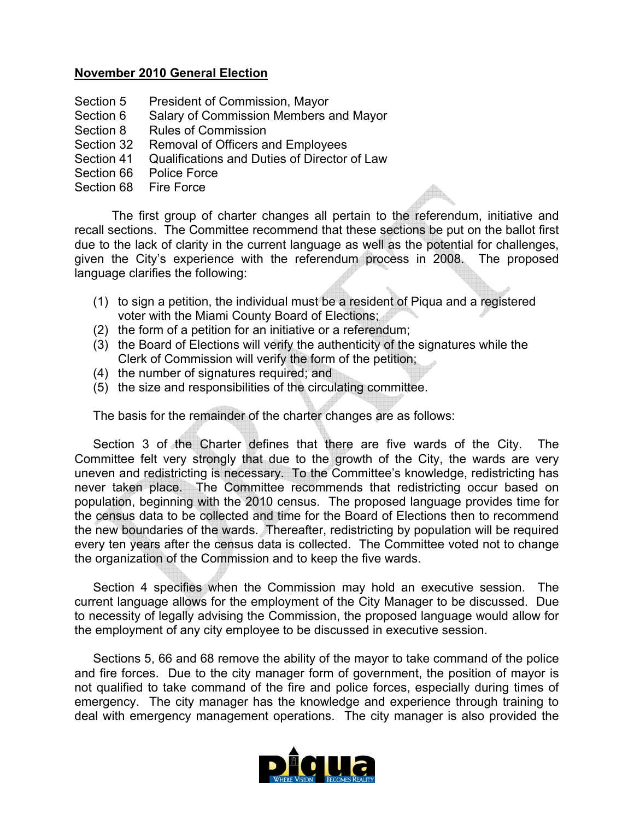### **November 2010 General Election**

- Section 5 President of Commission, Mayor
- Section 6 Salary of Commission Members and Mayor
- Section 8 Rules of Commission
- Section 32 Removal of Officers and Employees
- Section 41 Qualifications and Duties of Director of Law
- Section 66 Police Force
- Section 68 Fire Force

 The first group of charter changes all pertain to the referendum, initiative and recall sections. The Committee recommend that these sections be put on the ballot first due to the lack of clarity in the current language as well as the potential for challenges, given the City's experience with the referendum process in 2008. The proposed language clarifies the following:

- (1) to sign a petition, the individual must be a resident of Piqua and a registered voter with the Miami County Board of Elections;
- (2) the form of a petition for an initiative or a referendum;
- (3) the Board of Elections will verify the authenticity of the signatures while the Clerk of Commission will verify the form of the petition;
- (4) the number of signatures required; and
- (5) the size and responsibilities of the circulating committee.

The basis for the remainder of the charter changes are as follows:

Section 3 of the Charter defines that there are five wards of the City. The Committee felt very strongly that due to the growth of the City, the wards are very uneven and redistricting is necessary. To the Committee's knowledge, redistricting has never taken place. The Committee recommends that redistricting occur based on population, beginning with the 2010 census. The proposed language provides time for the census data to be collected and time for the Board of Elections then to recommend the new boundaries of the wards. Thereafter, redistricting by population will be required every ten years after the census data is collected. The Committee voted not to change the organization of the Commission and to keep the five wards.

Section 4 specifies when the Commission may hold an executive session. The current language allows for the employment of the City Manager to be discussed. Due to necessity of legally advising the Commission, the proposed language would allow for the employment of any city employee to be discussed in executive session.

Sections 5, 66 and 68 remove the ability of the mayor to take command of the police and fire forces. Due to the city manager form of government, the position of mayor is not qualified to take command of the fire and police forces, especially during times of emergency. The city manager has the knowledge and experience through training to deal with emergency management operations. The city manager is also provided the